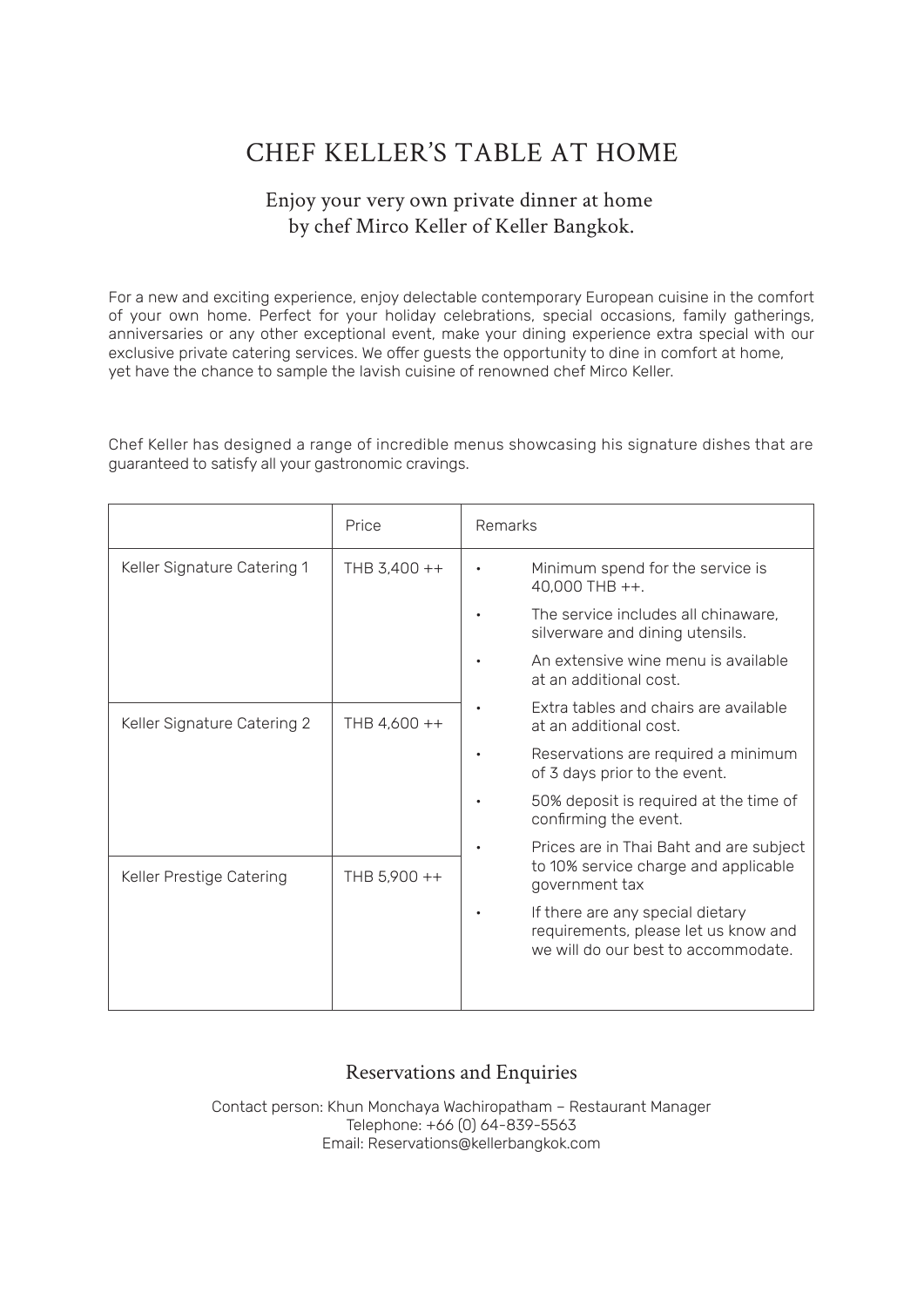# CHEF KELLER'S TABLE AT HOME

# Enjoy your very own private dinner at home by chef Mirco Keller of Keller Bangkok.

For a new and exciting experience, enjoy delectable contemporary European cuisine in the comfort of your own home. Perfect for your holiday celebrations, special occasions, family gatherings, anniversaries or any other exceptional event, make your dining experience extra special with our exclusive private catering services. We offer guests the opportunity to dine in comfort at home, yet have the chance to sample the lavish cuisine of renowned chef Mirco Keller.

Chef Keller has designed a range of incredible menus showcasing his signature dishes that are guaranteed to satisfy all your gastronomic cravings.

|                             | Price        | Remarks                                                                                                         |
|-----------------------------|--------------|-----------------------------------------------------------------------------------------------------------------|
| Keller Signature Catering 1 | THB 3,400 ++ | Minimum spend for the service is<br>$40.000$ THB $++$ .                                                         |
|                             |              | The service includes all chinaware,<br>silverware and dining utensils.                                          |
|                             |              | An extensive wine menu is available<br>at an additional cost.                                                   |
| Keller Signature Catering 2 | THB 4,600 ++ | Extra tables and chairs are available<br>at an additional cost.                                                 |
|                             |              | Reservations are required a minimum<br>of 3 days prior to the event.                                            |
|                             |              | 50% deposit is required at the time of<br>confirming the event.                                                 |
|                             |              | Prices are in Thai Baht and are subject<br>to 10% service charge and applicable<br>government tax               |
| Keller Prestige Catering    | THB 5,900 ++ |                                                                                                                 |
|                             |              | If there are any special dietary<br>requirements, please let us know and<br>we will do our best to accommodate. |
|                             |              |                                                                                                                 |

## Reservations and Enquiries

Contact person: Khun Monchaya Wachiropatham – Restaurant Manager Telephone: +66 (0) 64-839-5563 Email: Reservations@kellerbangkok.com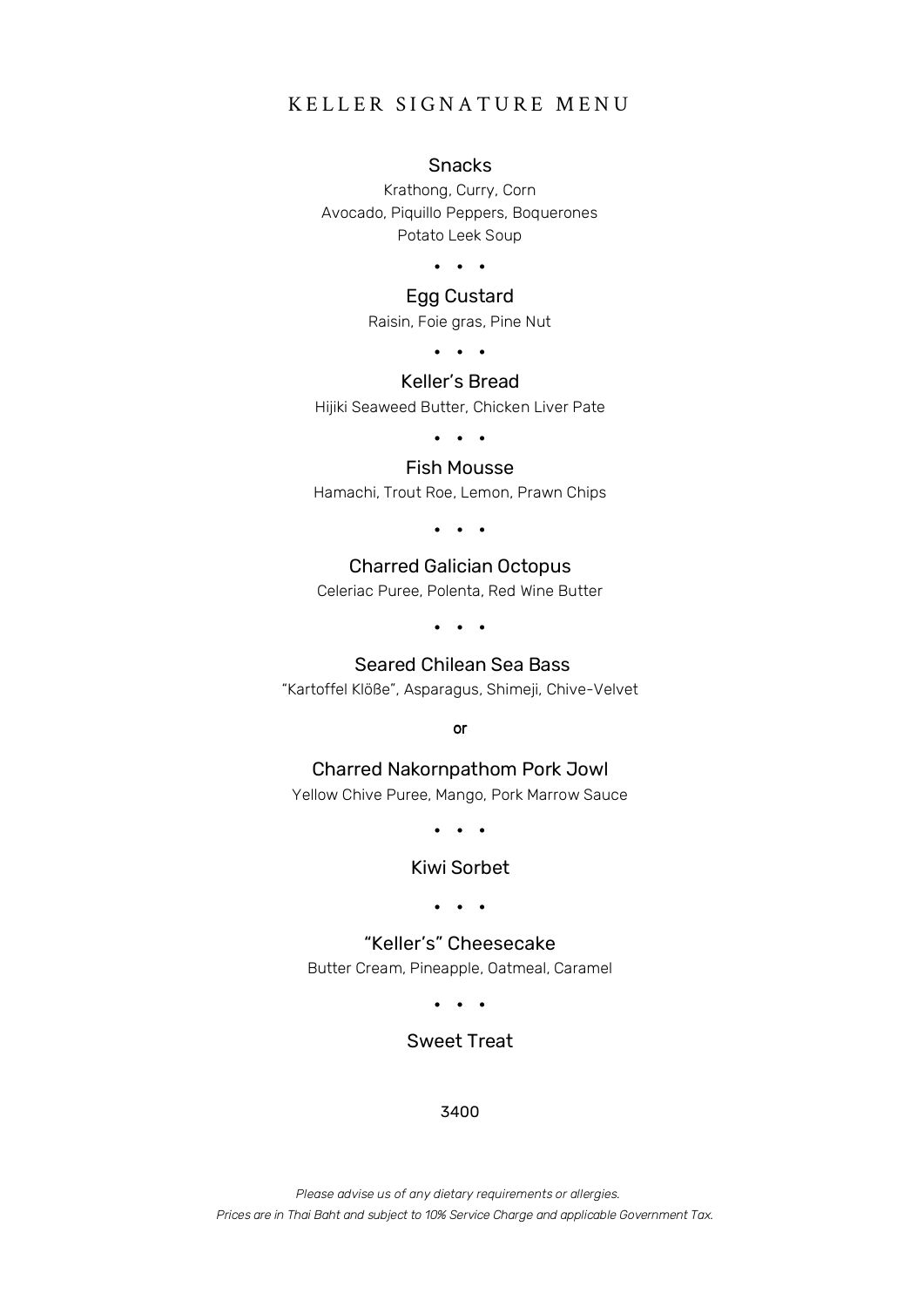## KELLER SIGNATURE MENU

#### Snacks

Krathong, Curry, Corn Avocado, Piquillo Peppers, Boquerones Potato Leek Soup

• • •

#### Egg Custard

Raisin, Foie gras, Pine Nut

• • •

## Keller's Bread

Hijiki Seaweed Butter, Chicken Liver Pate

• • •

#### Fish Mousse

Hamachi, Trout Roe, Lemon, Prawn Chips

• • •

## Charred Galician Octopus

Celeriac Puree, Polenta, Red Wine Butter

• • •

#### Seared Chilean Sea Bass

"Kartoffel Klöße", Asparagus, Shimeji, Chive-Velvet

or

#### Charred Nakornpathom Pork Jowl

Yellow Chive Puree, Mango, Pork Marrow Sauce

• • •

#### Kiwi Sorbet

• • •

"Keller's" Cheesecake Butter Cream, Pineapple, Oatmeal, Caramel

• • •

## Sweet Treat

#### 3400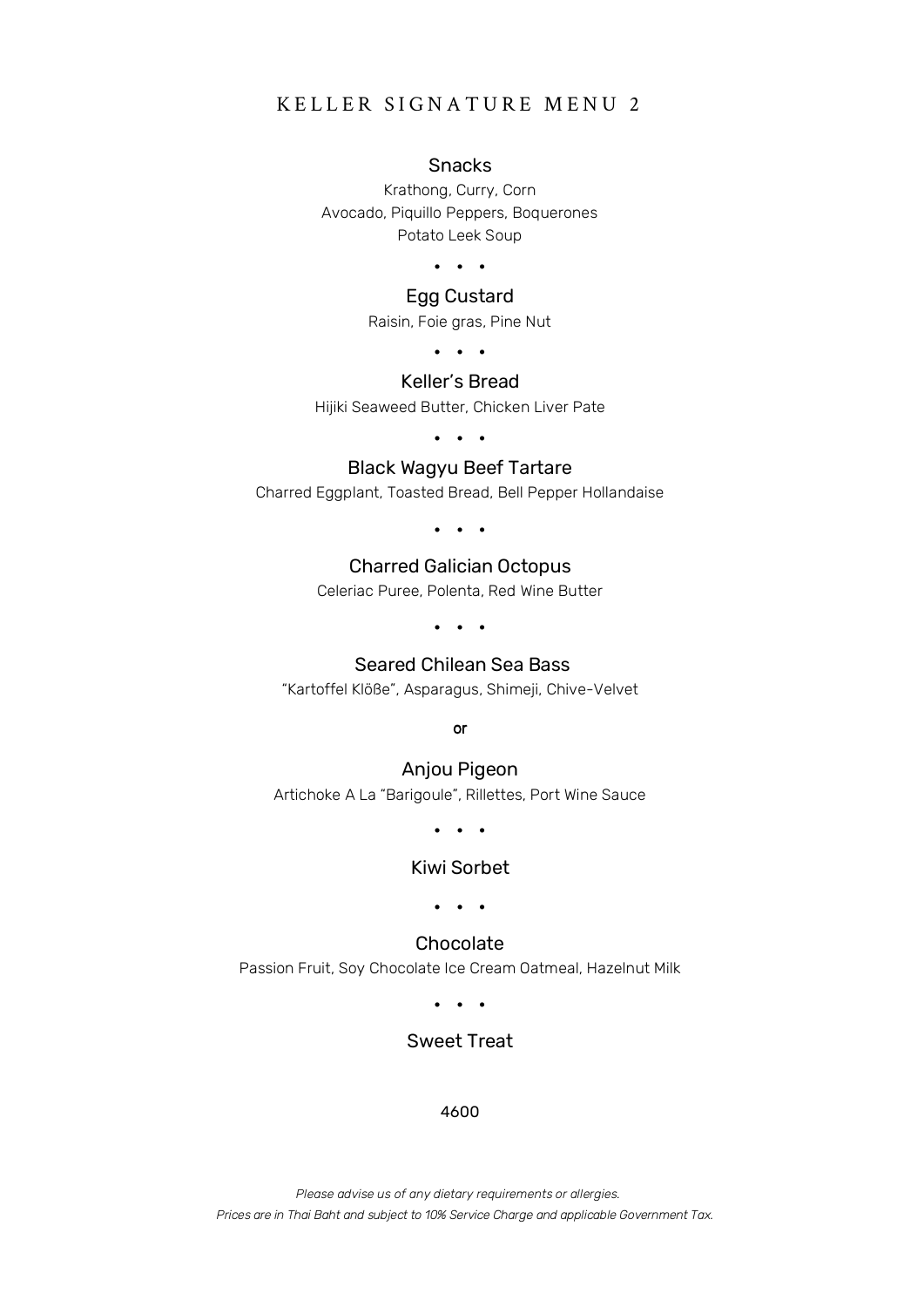## KELLER SIGNATURE MENU 2

#### Snacks

Krathong, Curry, Corn Avocado, Piquillo Peppers, Boquerones Potato Leek Soup

• • •

#### Egg Custard

Raisin, Foie gras, Pine Nut

• • •

## Keller's Bread

Hijiki Seaweed Butter, Chicken Liver Pate

• • •

## Black Wagyu Beef Tartare

Charred Eggplant, Toasted Bread, Bell Pepper Hollandaise

• • •

## Charred Galician Octopus

Celeriac Puree, Polenta, Red Wine Butter

• • •

#### Seared Chilean Sea Bass

"Kartoffel Klöße", Asparagus, Shimeji, Chive-Velvet

or

## Anjou Pigeon Artichoke A La "Barigoule", Rillettes, Port Wine Sauce

• • •

#### Kiwi Sorbet

• • •

## Chocolate Passion Fruit, Soy Chocolate Ice Cream Oatmeal, Hazelnut Milk

• • •

## Sweet Treat

#### 4600